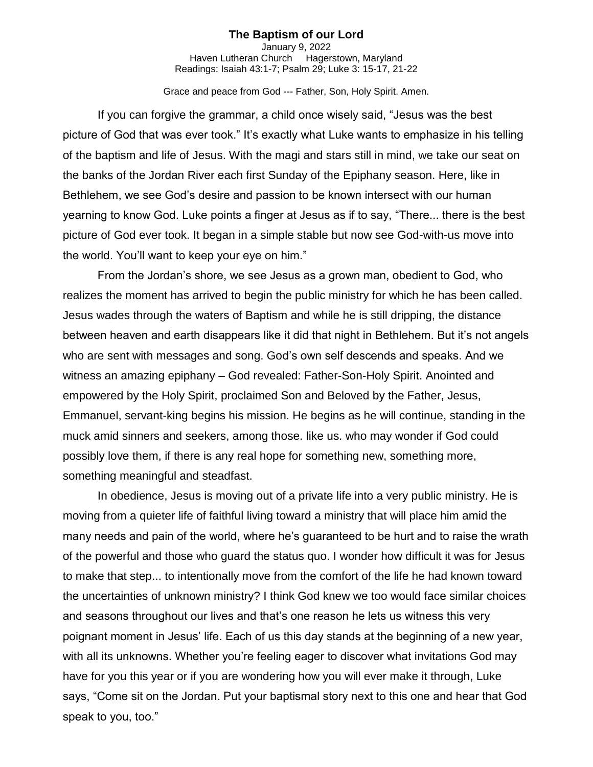## **The Baptism of our Lord**

January 9, 2022 Haven Lutheran Church Hagerstown, Maryland Readings: Isaiah 43:1-7; Psalm 29; Luke 3: 15-17, 21-22

Grace and peace from God --- Father, Son, Holy Spirit. Amen.

If you can forgive the grammar, a child once wisely said, "Jesus was the best picture of God that was ever took." It's exactly what Luke wants to emphasize in his telling of the baptism and life of Jesus. With the magi and stars still in mind, we take our seat on the banks of the Jordan River each first Sunday of the Epiphany season. Here, like in Bethlehem, we see God's desire and passion to be known intersect with our human yearning to know God. Luke points a finger at Jesus as if to say, "There... there is the best picture of God ever took. It began in a simple stable but now see God-with-us move into the world. You'll want to keep your eye on him."

From the Jordan's shore, we see Jesus as a grown man, obedient to God, who realizes the moment has arrived to begin the public ministry for which he has been called. Jesus wades through the waters of Baptism and while he is still dripping, the distance between heaven and earth disappears like it did that night in Bethlehem. But it's not angels who are sent with messages and song. God's own self descends and speaks. And we witness an amazing epiphany – God revealed: Father-Son-Holy Spirit. Anointed and empowered by the Holy Spirit, proclaimed Son and Beloved by the Father, Jesus, Emmanuel, servant-king begins his mission. He begins as he will continue, standing in the muck amid sinners and seekers, among those. like us. who may wonder if God could possibly love them, if there is any real hope for something new, something more, something meaningful and steadfast.

In obedience, Jesus is moving out of a private life into a very public ministry. He is moving from a quieter life of faithful living toward a ministry that will place him amid the many needs and pain of the world, where he's guaranteed to be hurt and to raise the wrath of the powerful and those who guard the status quo. I wonder how difficult it was for Jesus to make that step... to intentionally move from the comfort of the life he had known toward the uncertainties of unknown ministry? I think God knew we too would face similar choices and seasons throughout our lives and that's one reason he lets us witness this very poignant moment in Jesus' life. Each of us this day stands at the beginning of a new year, with all its unknowns. Whether you're feeling eager to discover what invitations God may have for you this year or if you are wondering how you will ever make it through, Luke says, "Come sit on the Jordan. Put your baptismal story next to this one and hear that God speak to you, too."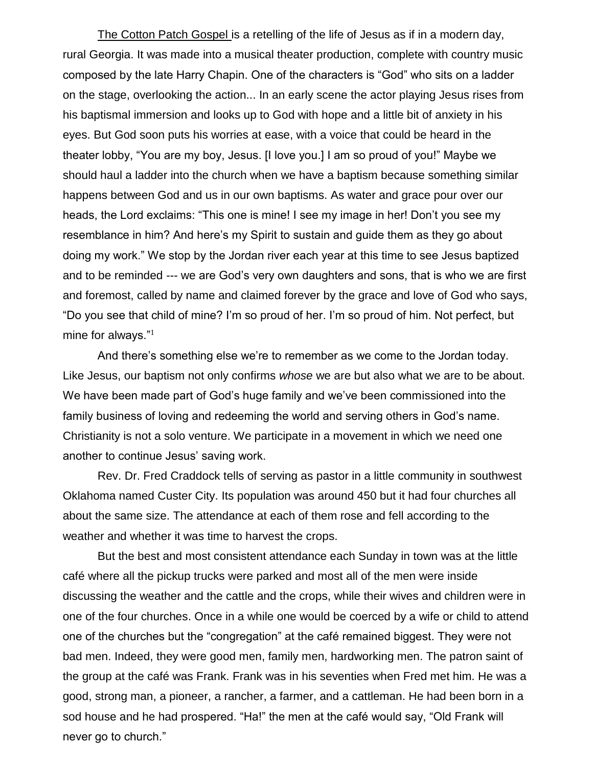The Cotton Patch Gospel is a retelling of the life of Jesus as if in a modern day, rural Georgia. It was made into a musical theater production, complete with country music composed by the late Harry Chapin. One of the characters is "God" who sits on a ladder on the stage, overlooking the action... In an early scene the actor playing Jesus rises from his baptismal immersion and looks up to God with hope and a little bit of anxiety in his eyes. But God soon puts his worries at ease, with a voice that could be heard in the theater lobby, "You are my boy, Jesus. [I love you.] I am so proud of you!" Maybe we should haul a ladder into the church when we have a baptism because something similar happens between God and us in our own baptisms. As water and grace pour over our heads, the Lord exclaims: "This one is mine! I see my image in her! Don't you see my resemblance in him? And here's my Spirit to sustain and guide them as they go about doing my work." We stop by the Jordan river each year at this time to see Jesus baptized and to be reminded --- we are God's very own daughters and sons, that is who we are first and foremost, called by name and claimed forever by the grace and love of God who says, "Do you see that child of mine? I'm so proud of her. I'm so proud of him. Not perfect, but mine for always."<sup>1</sup>

And there's something else we're to remember as we come to the Jordan today. Like Jesus, our baptism not only confirms *whose* we are but also what we are to be about. We have been made part of God's huge family and we've been commissioned into the family business of loving and redeeming the world and serving others in God's name. Christianity is not a solo venture. We participate in a movement in which we need one another to continue Jesus' saving work.

Rev. Dr. Fred Craddock tells of serving as pastor in a little community in southwest Oklahoma named Custer City. Its population was around 450 but it had four churches all about the same size. The attendance at each of them rose and fell according to the weather and whether it was time to harvest the crops.

But the best and most consistent attendance each Sunday in town was at the little café where all the pickup trucks were parked and most all of the men were inside discussing the weather and the cattle and the crops, while their wives and children were in one of the four churches. Once in a while one would be coerced by a wife or child to attend one of the churches but the "congregation" at the café remained biggest. They were not bad men. Indeed, they were good men, family men, hardworking men. The patron saint of the group at the café was Frank. Frank was in his seventies when Fred met him. He was a good, strong man, a pioneer, a rancher, a farmer, and a cattleman. He had been born in a sod house and he had prospered. "Ha!" the men at the café would say, "Old Frank will never go to church."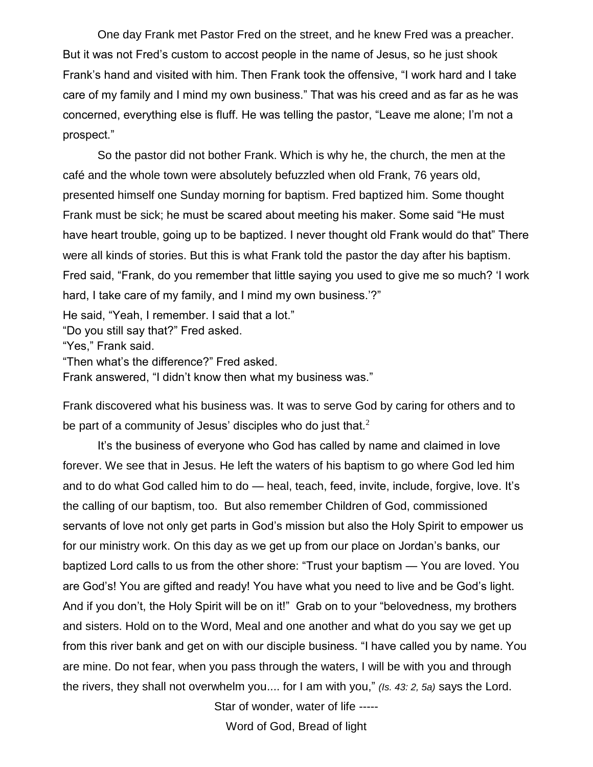One day Frank met Pastor Fred on the street, and he knew Fred was a preacher. But it was not Fred's custom to accost people in the name of Jesus, so he just shook Frank's hand and visited with him. Then Frank took the offensive, "I work hard and I take care of my family and I mind my own business." That was his creed and as far as he was concerned, everything else is fluff. He was telling the pastor, "Leave me alone; I'm not a prospect."

So the pastor did not bother Frank. Which is why he, the church, the men at the café and the whole town were absolutely befuzzled when old Frank, 76 years old, presented himself one Sunday morning for baptism. Fred baptized him. Some thought Frank must be sick; he must be scared about meeting his maker. Some said "He must have heart trouble, going up to be baptized. I never thought old Frank would do that" There were all kinds of stories. But this is what Frank told the pastor the day after his baptism. Fred said, "Frank, do you remember that little saying you used to give me so much? 'I work hard, I take care of my family, and I mind my own business.'?"

He said, "Yeah, I remember. I said that a lot."

"Do you still say that?" Fred asked.

"Yes," Frank said.

"Then what's the difference?" Fred asked.

Frank answered, "I didn't know then what my business was."

Frank discovered what his business was. It was to serve God by caring for others and to be part of a community of Jesus' disciples who do just that. $2$ 

It's the business of everyone who God has called by name and claimed in love forever. We see that in Jesus. He left the waters of his baptism to go where God led him and to do what God called him to do — heal, teach, feed, invite, include, forgive, love. It's the calling of our baptism, too. But also remember Children of God, commissioned servants of love not only get parts in God's mission but also the Holy Spirit to empower us for our ministry work. On this day as we get up from our place on Jordan's banks, our baptized Lord calls to us from the other shore: "Trust your baptism — You are loved. You are God's! You are gifted and ready! You have what you need to live and be God's light. And if you don't, the Holy Spirit will be on it!" Grab on to your "belovedness, my brothers and sisters. Hold on to the Word, Meal and one another and what do you say we get up from this river bank and get on with our disciple business. "I have called you by name. You are mine. Do not fear, when you pass through the waters, I will be with you and through the rivers, they shall not overwhelm you.... for I am with you," *(Is. 43: 2, 5a)* says the Lord.

Star of wonder, water of life -----

Word of God, Bread of light